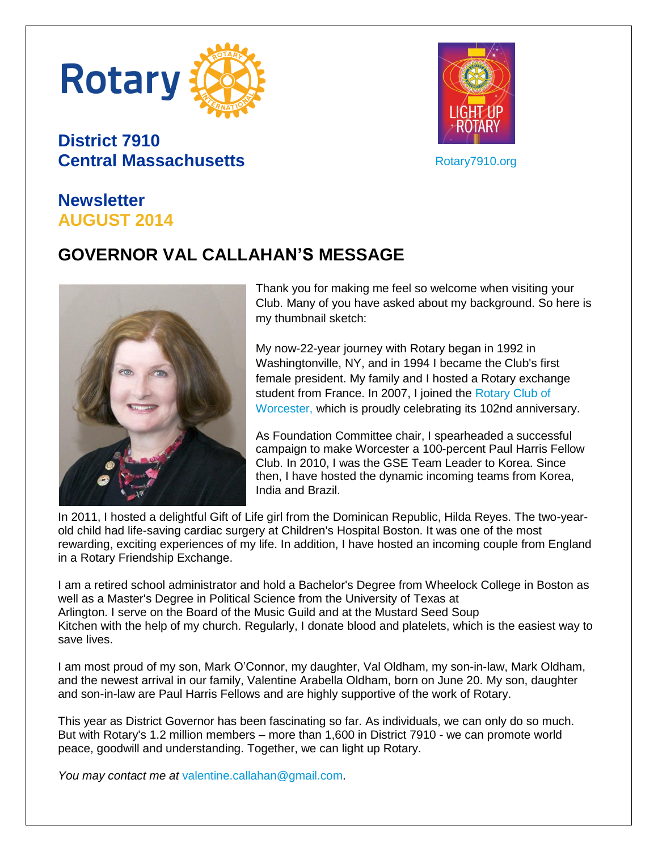

# **District 7910 Central Massachusetts**



[Rotary7910.org](http://www.rotary7910.org/)

#### **Newsletter AUGUST 2014**

# **GOVERNOR VAL CALLAHAN'S MESSAGE**



Thank you for making me feel so welcome when visiting your Club. Many of you have asked about my background. So here is my thumbnail sketch:

My now-22-year journey with Rotary began in 1992 in Washingtonville, NY, and in 1994 I became the Club's first female president. My family and I hosted a Rotary exchange student from France. In 2007, I joined the Rotary Club of [Worcester,](http://www.worcrotaryusa.org/) which is proudly celebrating its 102nd anniversary.

As Foundation Committee chair, I spearheaded a successful campaign to make Worcester a 100-percent Paul Harris Fellow Club. In 2010, I was the GSE Team Leader to Korea. Since then, I have hosted the dynamic incoming teams from Korea, India and Brazil.

In 2011, I hosted a delightful Gift of Life girl from the Dominican Republic, Hilda Reyes. The two-yearold child had life-saving cardiac surgery at Children's Hospital Boston. It was one of the most rewarding, exciting experiences of my life. In addition, I have hosted an incoming couple from England in a Rotary Friendship Exchange.

I am a retired school administrator and hold a Bachelor's Degree from Wheelock College in Boston as well as a Master's Degree in Political Science from the University of Texas at Arlington. I serve on the Board of the Music Guild and at the Mustard Seed Soup Kitchen with the help of my church. Regularly, I donate blood and platelets, which is the easiest way to save lives.

I am most proud of my son, Mark O'Connor, my daughter, Val Oldham, my son-in-law, Mark Oldham, and the newest arrival in our family, Valentine Arabella Oldham, born on June 20. My son, daughter and son-in-law are Paul Harris Fellows and are highly supportive of the work of Rotary.

This year as District Governor has been fascinating so far. As individuals, we can only do so much. But with Rotary's 1.2 million members – more than 1,600 in District 7910 - we can promote world peace, goodwill and understanding. Together, we can light up Rotary.

*You may contact me at* [valentine.callahan@gmail.com.](mailto:valentine.callahan@gmail.com)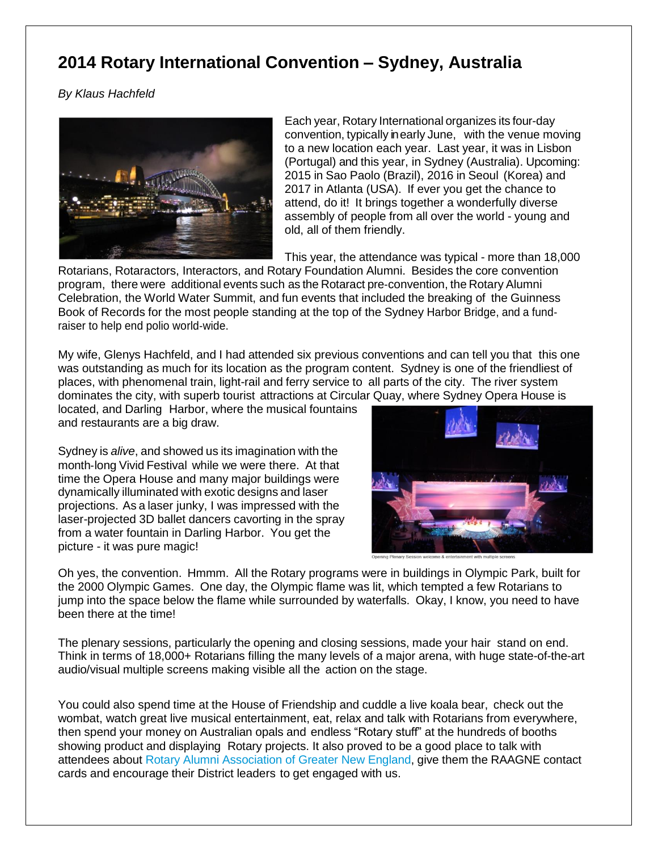#### **2014 Rotary International Convention – Sydney, Australia**

*By Klaus Hachfeld* 



Each year, Rotary International organizes its four-day convention, typically in early June, with the venue moving to a new location each year. Last year, it was in Lisbon (Portugal) and this year, in Sydney (Australia). Upcoming: 2015 in Sao Paolo (Brazil), 2016 in Seoul (Korea) and 2017 in Atlanta (USA). If ever you get the chance to attend, do it! It brings together a wonderfully diverse assembly of people from all over the world - young and old, all of them friendly.

This year, the attendance was typical - more than 18,000

Rotarians, Rotaractors, Interactors, and Rotary Foundation Alumni. Besides the core convention program, there were additional events such as the Rotaract pre‐convention, the Rotary Alumni Celebration, the World Water Summit, and fun events that included the breaking of the Guinness Book of Records for the most people standing at the top of the Sydney Harbor Bridge, and a fund‐ raiser to help end polio world‐wide.

My wife, Glenys Hachfeld, and I had attended six previous conventions and can tell you that this one was outstanding as much for its location as the program content. Sydney is one of the friendliest of places, with phenomenal train, light-rail and ferry service to all parts of the city. The river system dominates the city, with superb tourist attractions at Circular Quay, where Sydney Opera House is

located, and Darling Harbor, where the musical fountains and restaurants are a big draw.

Sydney is *alive*, and showed us its imagination with the month‐long Vivid Festival while we were there. At that time the Opera House and many major buildings were dynamically illuminated with exotic designs and laser projections. As a laser junky, I was impressed with the laser-projected 3D ballet dancers cavorting in the spray from a water fountain in Darling Harbor. You get the picture - it was pure magic!



Oh yes, the convention. Hmmm. All the Rotary programs were in buildings in Olympic Park, built for the 2000 Olympic Games. One day, the Olympic flame was lit, which tempted a few Rotarians to jump into the space below the flame while surrounded by waterfalls. Okay, I know, you need to have been there at the time!

The plenary sessions, particularly the opening and closing sessions, made your hair stand on end. Think in terms of 18,000+ Rotarians filling the many levels of a major arena, with huge state-of-the-art audio/visual multiple screens making visible all the action on the stage.

You could also spend time at the House of Friendship and cuddle a live koala bear, check out the wombat, watch great live musical entertainment, eat, relax and talk with Rotarians from everywhere, then spend your money on Australian opals and endless "Rotary stuff" at the hundreds of booths showing product and displaying Rotary projects. It also proved to be a good place to talk with attendees about [Rotary Alumni Association of Greater New England,](http://www.raagne.com/) give them the RAAGNE contact cards and encourage their District leaders to get engaged with us.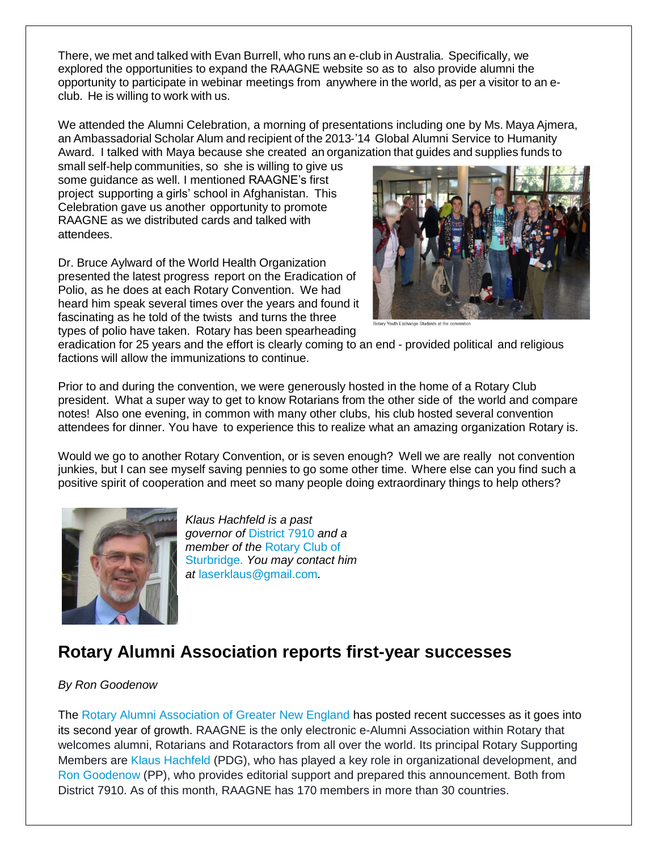There, we met and talked with Evan Burrell, who runs an e‐club in Australia. Specifically, we explored the opportunities to expand the RAAGNE website so as to also provide alumni the opportunity to participate in webinar meetings from anywhere in the world, as per a visitor to an eclub. He is willing to work with us.

We attended the Alumni Celebration, a morning of presentations including one by Ms. Maya Ajmera, an Ambassadorial Scholar Alum and recipient of the 2013‐'14 Global Alumni Service to Humanity Award. I talked with Maya because she created an organization that guides and supplies funds to

small self-help communities, so she is willing to give us some guidance as well. I mentioned RAAGNE's first project supporting a girls' school in Afghanistan. This Celebration gave us another opportunity to promote RAAGNE as we distributed cards and talked with attendees.

Dr. Bruce Aylward of the World Health Organization presented the latest progress report on the Eradication of Polio, as he does at each Rotary Convention. We had heard him speak several times over the years and found it fascinating as he told of the twists and turns the three types of polio have taken. Rotary has been spearheading



tary Youth Exchange Students at the con

eradication for 25 years and the effort is clearly coming to an end - provided political and religious factions will allow the immunizations to continue.

Prior to and during the convention, we were generously hosted in the home of a Rotary Club president. What a super way to get to know Rotarians from the other side of the world and compare notes! Also one evening, in common with many other clubs, his club hosted several convention attendees for dinner. You have to experience this to realize what an amazing organization Rotary is.

Would we go to another Rotary Convention, or is seven enough? Well we are really not convention junkies, but I can see myself saving pennies to go some other time. Where else can you find such a positive spirit of cooperation and meet so many people doing extraordinary things to help others?



*Klaus Hachfeld is a past governor of* [District 7910](http://www.rotary7910.org/) *and a member of the* [Rotary Club of](http://www.sturbridgerotary.org/)  [Sturbridge.](http://www.sturbridgerotary.org/) *You may contact him at* [laserklaus@gmail.com](mailto:laserklaus@gmail.com).

### **Rotary Alumni Association reports first-year successes**

#### *By Ron Goodenow*

The [Rotary Alumni Association of Greater New England](http://www.raagne.com/) has posted recent successes as it goes into its second year of growth. RAAGNE is the only electronic e-Alumni Association within Rotary that welcomes alumni, Rotarians and Rotaractors from all over the world. Its principal Rotary Supporting Members are [Klaus Hachfeld](mailto:laserklaus@gmail.com) (PDG), who has played a key role in organizational development, and [Ron Goodenow](mailto:Ron.Goodenow@gmail.com) (PP), who provides editorial support and prepared this announcement. Both from District 7910. As of this month, RAAGNE has 170 members in more than 30 countries.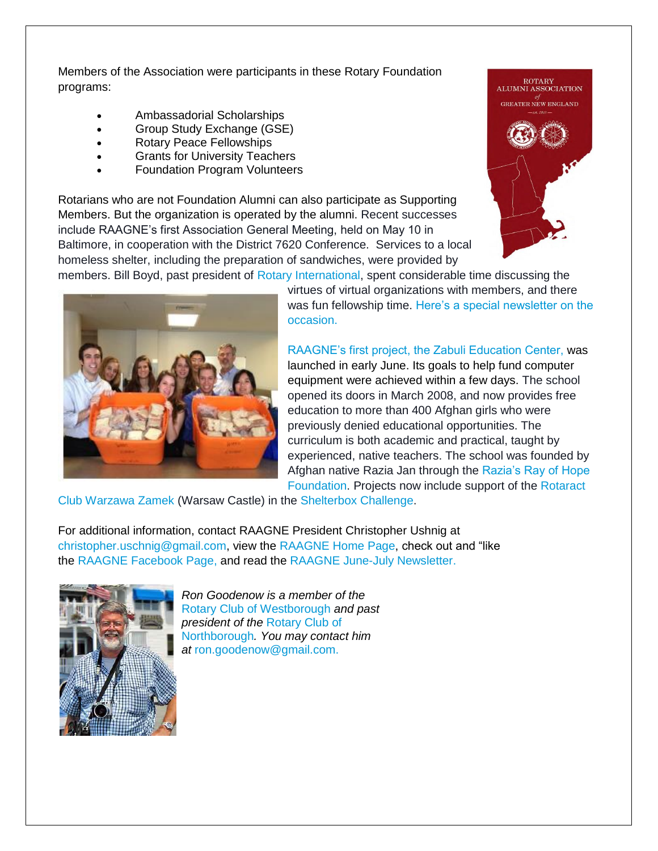Members of the Association were participants in these Rotary Foundation programs:

- Ambassadorial Scholarships
- Group Study Exchange (GSE)
- Rotary Peace Fellowships
- Grants for University Teachers
- Foundation Program Volunteers

Rotarians who are not Foundation Alumni can also participate as Supporting Members. But the organization is operated by the alumni. Recent successes include RAAGNE's first Association General Meeting, held on May 10 in Baltimore, in cooperation with the District 7620 Conference. Services to a local homeless shelter, including the preparation of sandwiches, were provided by members. Bill Boyd, past president of [Rotary International,](http://rotary.org/) spent considerable time discussing the





virtues of virtual organizations with members, and there was fun fellowship time. [Here's a special newsletter on the](http://www.raagne.com/wp-content/uploads/2013/08/Special-AGM-Newsletter-11a.pdf)  [occasion.](http://www.raagne.com/wp-content/uploads/2013/08/Special-AGM-Newsletter-11a.pdf)

[RAAGNE's first project, the Zabuli Education Center,](http://fundly.com/raagne) was launched in early June. Its goals to help fund computer equipment were achieved within a few days. The school opened its doors in March 2008, and now provides free education to more than 400 Afghan girls who were previously denied educational opportunities. The curriculum is both academic and practical, taught by experienced, native teachers. The school was founded by Afghan native Razia Jan through the [Razia's Ray of Hope](http://www.raziasrayofhope.org/)  [Foundation.](http://www.raziasrayofhope.org/) Projects now include support of the [Rotaract](http://www.rtc-zamek.org/en/) 

[Club Warzawa Zamek](http://www.rtc-zamek.org/en/) (Warsaw Castle) in the [Shelterbox Challenge.](http://www.shelterboxusa.org/about.php?page=58)

For additional information, contact RAAGNE President Christopher Ushnig at [christopher.uschnig@gmail.com,](mailto:christopher.uschnig@gmail.com) view the [RAAGNE Home Page,](http://www.raagne.com/) check out and "like the [RAAGNE Facebook Page,](http://www.fb.com/RotaryGreaterNewEngland) and read the [RAAGNE June-July Newsletter.](http://www.raagne.com/wp-content/uploads/2013/08/Newsletter-13-JuneJuly-2014-Rotary-Foundation-Alumni-Association-of-Greater-New-England.pdf)



*Ron Goodenow is a member of the* [Rotary Club of Westborough](http://www.westboroughrotary.org/) *and past president of the* [Rotary Club of](https://www.facebook.com/NorthboroMARotaryClub)  [Northborough](https://www.facebook.com/NorthboroMARotaryClub)*. You may contact him at* [ron.goodenow@gmail.com.](mailto:ron.goodenow@gmail.com)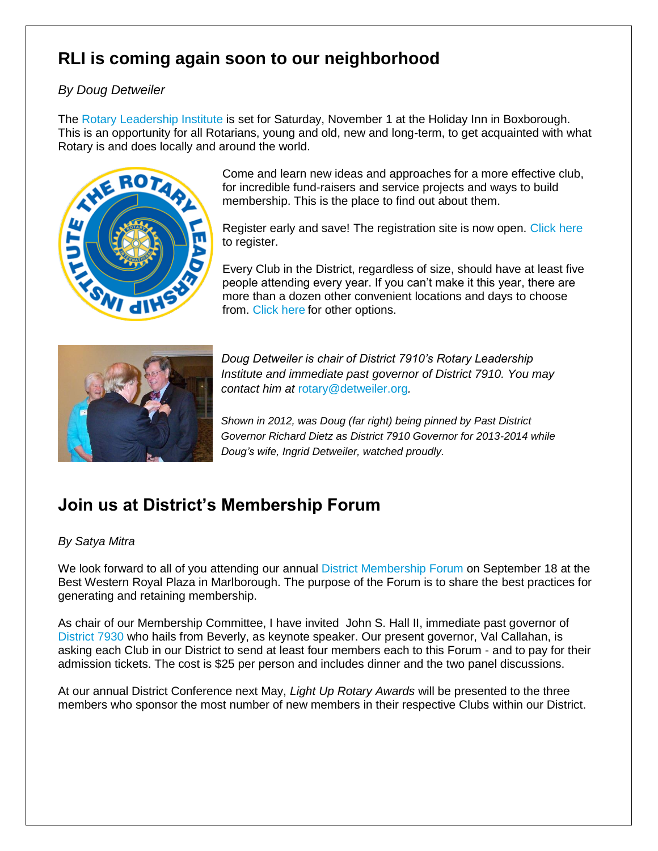# **RLI is coming again soon to our neighborhood**

#### *By Doug Detweiler*

The [Rotary Leadership Institute](http://www.rlinea.org/) is set for Saturday, November 1 at the Holiday Inn in Boxborough. This is an opportunity for all Rotarians, young and old, new and long-term, to get acquainted with what Rotary is and does locally and around the world.



Come and learn new ideas and approaches for a more effective club, for incredible fund-raisers and service projects and ways to build membership. This is the place to find out about them.

Register early and save! The registration site is now open. [Click here](http://www.crsadmin.com/EventPortal/Registrations/PublicFill/EventPublicFill.aspx?evtid=bcd74885-f2c1-464e-8bbf-66d1e1d7e9b4) to register.

Every Club in the District, regardless of size, should have at least five people attending every year. If you can't make it this year, there are more than a dozen other convenient locations and days to choose from. [Click here](http://www.rlinea.org/) for other options.



*Doug Detweiler is chair of District 7910's Rotary Leadership Institute and immediate past governor of District 7910. You may contact him at* [rotary@detweiler.org](mailto:rotary@detweiler.org)*.*

*Shown in 2012, was Doug (far right) being pinned by Past District Governor Richard Dietz as District 7910 Governor for 2013-2014 while Doug's wife, Ingrid Detweiler, watched proudly.*

### **Join us at District's Membership Forum**

#### *By Satya Mitra*

We look forward to all of you attending our annual [District Membership Forum](http://rotary7910.org/Stories/2014-membership-forum) on September 18 at the Best Western Royal Plaza in Marlborough. The purpose of the Forum is to share the best practices for generating and retaining membership.

As chair of our Membership Committee, I have invited John S. Hall II, immediate past governor of [District 7930](http://portal.clubrunner.ca/50227) who hails from Beverly, as keynote speaker. Our present governor, Val Callahan, is asking each Club in our District to send at least four members each to this Forum - and to pay for their admission tickets. The cost is \$25 per person and includes dinner and the two panel discussions.

At our annual District Conference next May, *Light Up Rotary Awards* will be presented to the three members who sponsor the most number of new members in their respective Clubs within our District.